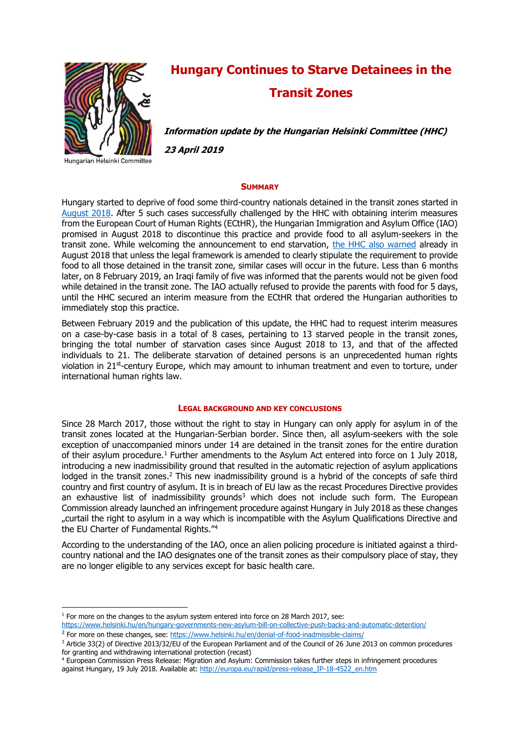

# **Hungary Continues to Starve Detainees in the Transit Zones**

**Information update by the Hungarian Helsinki Committee (HHC)**

**23 April 2019**

Hungarian Helsinki Committee

**.** 

#### **SUMMARY**

Hungary started to deprive of food some third-country nationals detained in the transit zones started in [August 2018.](https://www.helsinki.hu/en/denial-of-food-inadmissible-claims/) After 5 such cases successfully challenged by the HHC with obtaining interim measures from the European Court of Human Rights (ECtHR), the Hungarian Immigration and Asylum Office (IAO) promised in August 2018 to discontinue this practice and provide food to all asylum-seekers in the transit zone. While welcoming the announcement to end starvation, [the HHC also warned](https://www.helsinki.hu/en/all-asylum-seekers-finally-get-food-in-the-transit-zones-at-the-border/) already in August 2018 that unless the legal framework is amended to clearly stipulate the requirement to provide food to all those detained in the transit zone, similar cases will occur in the future. Less than 6 months later, on 8 February 2019, an Iraqi family of five was informed that the parents would not be given food while detained in the transit zone. The IAO actually refused to provide the parents with food for 5 days, until the HHC secured an interim measure from the ECtHR that ordered the Hungarian authorities to immediately stop this practice.

Between February 2019 and the publication of this update, the HHC had to request interim measures on a case-by-case basis in a total of 8 cases, pertaining to 13 starved people in the transit zones, bringing the total number of starvation cases since August 2018 to 13, and that of the affected individuals to 21. The deliberate starvation of detained persons is an unprecedented human rights violation in 21<sup>st</sup>-century Europe, which may amount to inhuman treatment and even to torture, under international human rights law.

#### **LEGAL BACKGROUND AND KEY CONCLUSIONS**

Since 28 March 2017, those without the right to stay in Hungary can only apply for asylum in of the transit zones located at the Hungarian-Serbian border. Since then, all asylum-seekers with the sole exception of unaccompanied minors under 14 are detained in the transit zones for the entire duration of their asylum procedure.<sup>1</sup> Further amendments to the Asylum Act entered into force on 1 July 2018, introducing a new inadmissibility ground that resulted in the automatic rejection of asylum applications lodged in the transit zones.<sup>2</sup> This new inadmissibility ground is a hybrid of the concepts of safe third country and first country of asylum. It is in breach of EU law as the recast Procedures Directive provides an exhaustive list of inadmissibility grounds<sup>3</sup> which does not include such form. The European Commission already launched an infringement procedure against Hungary in July 2018 as these changes "curtail the right to asylum in a way which is incompatible with the Asylum Qualifications Directive and the EU Charter of Fundamental Rights."<sup>4</sup>

According to the understanding of the IAO, once an alien policing procedure is initiated against a thirdcountry national and the IAO designates one of the transit zones as their compulsory place of stay, they are no longer eligible to any services except for basic health care.

<sup>4</sup> European Commission Press Release: Migration and Asylum: Commission takes further steps in infringement procedures against Hungary, 19 July 2018. Available at: [http://europa.eu/rapid/press-release\\_IP-18-4522\\_en.htm](http://europa.eu/rapid/press-release_IP-18-4522_en.htm)

 $1$  For more on the changes to the asylum system entered into force on 28 March 2017, see:

<https://www.helsinki.hu/en/hungary-governments-new-asylum-bill-on-collective-push-backs-and-automatic-detention/> <sup>2</sup> For more on these changes, see:<https://www.helsinki.hu/en/denial-of-food-inadmissible-claims/>

<sup>3</sup> Article 33(2) of Directive 2013/32/EU of the European Parliament and of the Council of 26 June 2013 on common procedures for granting and withdrawing international protection (recast)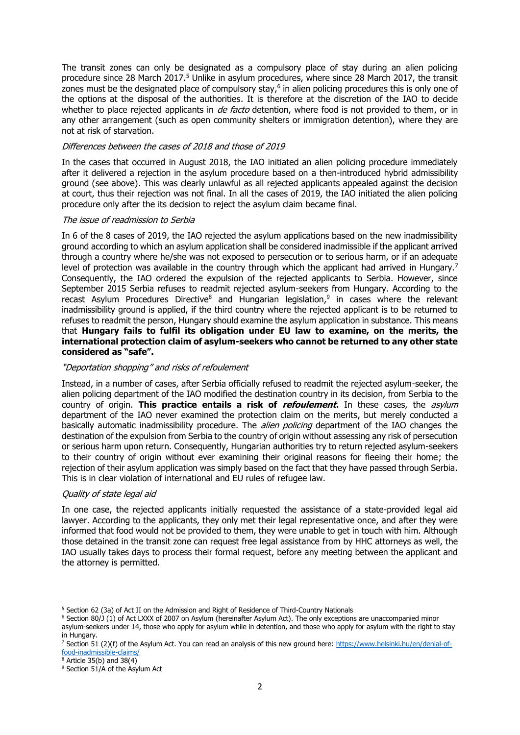The transit zones can only be designated as a compulsory place of stay during an alien policing procedure since 28 March 2017.<sup>5</sup> Unlike in asylum procedures, where since 28 March 2017, the transit zones must be the designated place of compulsory stay, $6$  in alien policing procedures this is only one of the options at the disposal of the authorities. It is therefore at the discretion of the IAO to decide whether to place rejected applicants in *de facto* detention, where food is not provided to them, or in any other arrangement (such as open community shelters or immigration detention), where they are not at risk of starvation.

### Differences between the cases of 2018 and those of 2019

In the cases that occurred in August 2018, the IAO initiated an alien policing procedure immediately after it delivered a rejection in the asylum procedure based on a then-introduced hybrid admissibility ground (see above). This was clearly unlawful as all rejected applicants appealed against the decision at court, thus their rejection was not final. In all the cases of 2019, the IAO initiated the alien policing procedure only after the its decision to reject the asylum claim became final.

#### The issue of readmission to Serbia

In 6 of the 8 cases of 2019, the IAO rejected the asylum applications based on the new inadmissibility ground according to which an asylum application shall be considered inadmissible if the applicant arrived through a country where he/she was not exposed to persecution or to serious harm, or if an adequate level of protection was available in the country through which the applicant had arrived in Hungary.<sup>7</sup> Consequently, the IAO ordered the expulsion of the rejected applicants to Serbia. However, since September 2015 Serbia refuses to readmit rejected asylum-seekers from Hungary. According to the recast Asylum Procedures Directive<sup>8</sup> and Hungarian legislation,<sup>9</sup> in cases where the relevant inadmissibility ground is applied, if the third country where the rejected applicant is to be returned to refuses to readmit the person, Hungary should examine the asylum application in substance. This means that **Hungary fails to fulfil its obligation under EU law to examine, on the merits, the international protection claim of asylum-seekers who cannot be returned to any other state considered as "safe".**

#### "Deportation shopping" and risks of refoulement

Instead, in a number of cases, after Serbia officially refused to readmit the rejected asylum-seeker, the alien policing department of the IAO modified the destination country in its decision, from Serbia to the country of origin. **This practice entails a risk of refoulement.** In these cases, the asylum department of the IAO never examined the protection claim on the merits, but merely conducted a basically automatic inadmissibility procedure. The *alien policing* department of the IAO changes the destination of the expulsion from Serbia to the country of origin without assessing any risk of persecution or serious harm upon return. Consequently, Hungarian authorities try to return rejected asylum-seekers to their country of origin without ever examining their original reasons for fleeing their home; the rejection of their asylum application was simply based on the fact that they have passed through Serbia. This is in clear violation of international and EU rules of refugee law.

### Quality of state legal aid

In one case, the rejected applicants initially requested the assistance of a state-provided legal aid lawyer. According to the applicants, they only met their legal representative once, and after they were informed that food would not be provided to them, they were unable to get in touch with him. Although those detained in the transit zone can request free legal assistance from by HHC attorneys as well, the IAO usually takes days to process their formal request, before any meeting between the applicant and the attorney is permitted.

**.** 

<sup>5</sup> Section 62 (3a) of Act II on the Admission and Right of Residence of Third-Country Nationals

 $6$  Section 80/J (1) of Act LXXX of 2007 on Asylum (hereinafter Asylum Act). The only exceptions are unaccompanied minor asylum-seekers under 14, those who apply for asylum while in detention, and those who apply for asylum with the right to stay in Hungary.

<sup>&</sup>lt;sup>7</sup> Section 51 (2)(f) of the Asylum Act. You can read an analysis of this new ground here[: https://www.helsinki.hu/en/denial-of](https://www.helsinki.hu/en/denial-of-food-inadmissible-claims/)[food-inadmissible-claims/](https://www.helsinki.hu/en/denial-of-food-inadmissible-claims/)

 $8$  Article 35(b) and 38(4)

<sup>&</sup>lt;sup>9</sup> Section 51/A of the Asylum Act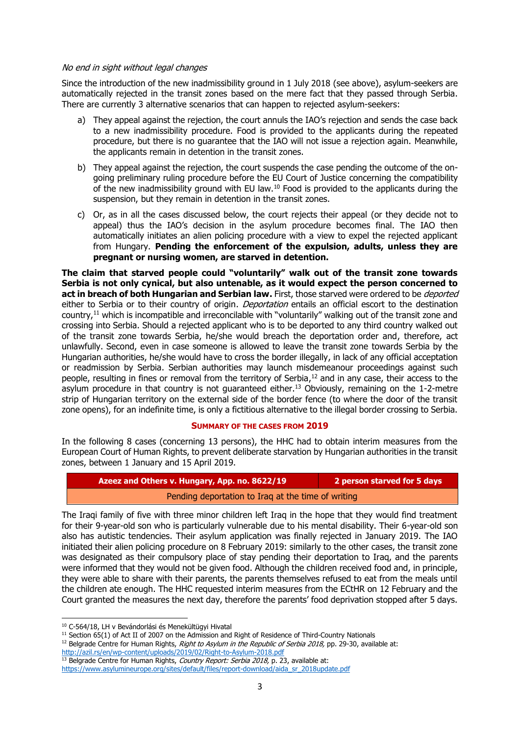### No end in sight without legal changes

Since the introduction of the new inadmissibility ground in 1 July 2018 (see above), asylum-seekers are automatically rejected in the transit zones based on the mere fact that they passed through Serbia. There are currently 3 alternative scenarios that can happen to rejected asylum-seekers:

- a) They appeal against the rejection, the court annuls the IAO's rejection and sends the case back to a new inadmissibility procedure. Food is provided to the applicants during the repeated procedure, but there is no guarantee that the IAO will not issue a rejection again. Meanwhile, the applicants remain in detention in the transit zones.
- b) They appeal against the rejection, the court suspends the case pending the outcome of the ongoing preliminary ruling procedure before the EU Court of Justice concerning the compatibility of the new inadmissibility ground with EU law.<sup>10</sup> Food is provided to the applicants during the suspension, but they remain in detention in the transit zones.
- c) Or, as in all the cases discussed below, the court rejects their appeal (or they decide not to appeal) thus the IAO's decision in the asylum procedure becomes final. The IAO then automatically initiates an alien policing procedure with a view to expel the rejected applicant from Hungary. **Pending the enforcement of the expulsion, adults, unless they are pregnant or nursing women, are starved in detention.**

**The claim that starved people could "voluntarily" walk out of the transit zone towards Serbia is not only cynical, but also untenable, as it would expect the person concerned to act in breach of both Hungarian and Serbian law.** First, those starved were ordered to be *deported* either to Serbia or to their country of origin. *Deportation* entails an official escort to the destination country,<sup>11</sup> which is incompatible and irreconcilable with "voluntarily" walking out of the transit zone and crossing into Serbia. Should a rejected applicant who is to be deported to any third country walked out of the transit zone towards Serbia, he/she would breach the deportation order and, therefore, act unlawfully. Second, even in case someone is allowed to leave the transit zone towards Serbia by the Hungarian authorities, he/she would have to cross the border illegally, in lack of any official acceptation or readmission by Serbia. Serbian authorities may launch misdemeanour proceedings against such people, resulting in fines or removal from the territory of Serbia, $12$  and in any case, their access to the asylum procedure in that country is not guaranteed either. <sup>13</sup> Obviously, remaining on the 1-2-metre strip of Hungarian territory on the external side of the border fence (to where the door of the transit zone opens), for an indefinite time, is only a fictitious alternative to the illegal border crossing to Serbia.

#### **SUMMARY OF THE CASES FROM 2019**

In the following 8 cases (concerning 13 persons), the HHC had to obtain interim measures from the European Court of Human Rights, to prevent deliberate starvation by Hungarian authorities in the transit zones, between 1 January and 15 April 2019.

| Azeez and Others v. Hungary, App. no. 8622/19      | 2 person starved for 5 days |
|----------------------------------------------------|-----------------------------|
| Pending deportation to Iraq at the time of writing |                             |

The Iraqi family of five with three minor children left Iraq in the hope that they would find treatment for their 9-year-old son who is particularly vulnerable due to his mental disability. Their 6-year-old son also has autistic tendencies. Their asylum application was finally rejected in January 2019. The IAO initiated their alien policing procedure on 8 February 2019: similarly to the other cases, the transit zone was designated as their compulsory place of stay pending their deportation to Iraq, and the parents were informed that they would not be given food. Although the children received food and, in principle, they were able to share with their parents, the parents themselves refused to eat from the meals until the children ate enough. The HHC requested interim measures from the ECtHR on 12 February and the Court granted the measures the next day, therefore the parents' food deprivation stopped after 5 days.

1

<http://azil.rs/en/wp-content/uploads/2019/02/Right-to-Asylum-2018.pdf>

<sup>&</sup>lt;sup>10</sup> C-564/18, LH v Bevándorlási és Menekültügyi Hivatal

<sup>&</sup>lt;sup>11</sup> Section 65(1) of Act II of 2007 on the Admission and Right of Residence of Third-Country Nationals

<sup>&</sup>lt;sup>12</sup> Belgrade Centre for Human Rights, Right to Asylum in the Republic of Serbia 2018, pp. 29-30, available at:

 $13$  Belgrade Centre for Human Rights, *Country Report: Serbia 2018*, p. 23, available at:

[https://www.asylumineurope.org/sites/default/files/report-download/aida\\_sr\\_2018update.pdf](https://www.asylumineurope.org/sites/default/files/report-download/aida_sr_2018update.pdf)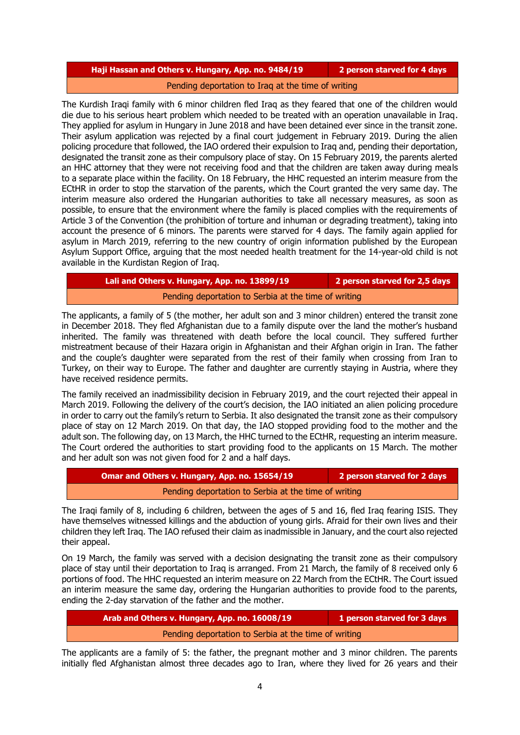### **Haji Hassan and Others v. Hungary, App. no. 9484/19 2 person starved for 4 days**

#### Pending deportation to Iraq at the time of writing

The Kurdish Iraqi family with 6 minor children fled Iraq as they feared that one of the children would die due to his serious heart problem which needed to be treated with an operation unavailable in Iraq. They applied for asylum in Hungary in June 2018 and have been detained ever since in the transit zone. Their asylum application was rejected by a final court judgement in February 2019. During the alien policing procedure that followed, the IAO ordered their expulsion to Iraq and, pending their deportation, designated the transit zone as their compulsory place of stay. On 15 February 2019, the parents alerted an HHC attorney that they were not receiving food and that the children are taken away during meals to a separate place within the facility. On 18 February, the HHC requested an interim measure from the ECtHR in order to stop the starvation of the parents, which the Court granted the very same day. The interim measure also ordered the Hungarian authorities to take all necessary measures, as soon as possible, to ensure that the environment where the family is placed complies with the requirements of Article 3 of the Convention (the prohibition of torture and inhuman or degrading treatment), taking into account the presence of 6 minors. The parents were starved for 4 days. The family again applied for asylum in March 2019, referring to the new country of origin information published by the European Asylum Support Office, arguing that the most needed health treatment for the 14-year-old child is not available in the Kurdistan Region of Iraq.

# **Lali and Others v. Hungary, App. no. 13899/19 2 person starved for 2,5 days** Pending deportation to Serbia at the time of writing

The applicants, a family of 5 (the mother, her adult son and 3 minor children) entered the transit zone in December 2018. They fled Afghanistan due to a family dispute over the land the mother's husband inherited. The family was threatened with death before the local council. They suffered further mistreatment because of their Hazara origin in Afghanistan and their Afghan origin in Iran. The father and the couple's daughter were separated from the rest of their family when crossing from Iran to Turkey, on their way to Europe. The father and daughter are currently staying in Austria, where they have received residence permits.

The family received an inadmissibility decision in February 2019, and the court rejected their appeal in March 2019. Following the delivery of the court's decision, the IAO initiated an alien policing procedure in order to carry out the family's return to Serbia. It also designated the transit zone as their compulsory place of stay on 12 March 2019. On that day, the IAO stopped providing food to the mother and the adult son. The following day, on 13 March, the HHC turned to the ECtHR, requesting an interim measure. The Court ordered the authorities to start providing food to the applicants on 15 March. The mother and her adult son was not given food for 2 and a half days.

| Omar and Others v. Hungary, App. no. 15654/19        | 2 person starved for 2 days |
|------------------------------------------------------|-----------------------------|
| Pending deportation to Serbia at the time of writing |                             |

The Iraqi family of 8, including 6 children, between the ages of 5 and 16, fled Iraq fearing ISIS. They have themselves witnessed killings and the abduction of young girls. Afraid for their own lives and their children they left Iraq. The IAO refused their claim as inadmissible in January, and the court also rejected their appeal.

On 19 March, the family was served with a decision designating the transit zone as their compulsory place of stay until their deportation to Iraq is arranged. From 21 March, the family of 8 received only 6 portions of food. The HHC requested an interim measure on 22 March from the ECtHR. The Court issued an interim measure the same day, ordering the Hungarian authorities to provide food to the parents, ending the 2-day starvation of the father and the mother.

| Arab and Others v. Hungary, App. no. 16008/19        | 1 person starved for 3 days |
|------------------------------------------------------|-----------------------------|
| Pending deportation to Serbia at the time of writing |                             |

The applicants are a family of 5: the father, the pregnant mother and 3 minor children. The parents initially fled Afghanistan almost three decades ago to Iran, where they lived for 26 years and their